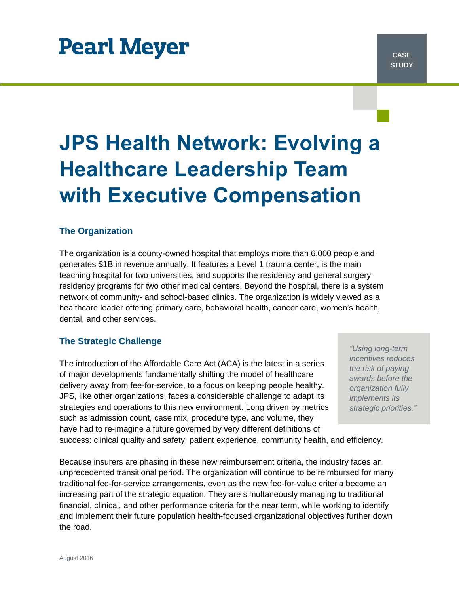# **Pearl Meyer**

# **JPS Health Network: Evolving a Healthcare Leadership Team with Executive Compensation**

# **The Organization**

The organization is a county-owned hospital that employs more than 6,000 people and generates \$1B in revenue annually. It features a Level 1 trauma center, is the main teaching hospital for two universities, and supports the residency and general surgery residency programs for two other medical centers. Beyond the hospital, there is a system network of community- and school-based clinics. The organization is widely viewed as a healthcare leader offering primary care, behavioral health, cancer care, women's health, dental, and other services.

# **The Strategic Challenge**

The introduction of the Affordable Care Act (ACA) is the latest in a series of major developments fundamentally shifting the model of healthcare delivery away from fee-for-service, to a focus on keeping people healthy. JPS, like other organizations, faces a considerable challenge to adapt its strategies and operations to this new environment. Long driven by metrics such as admission count, case mix, procedure type, and volume, they have had to re-imagine a future governed by very different definitions of

*"Using long-term incentives reduces the risk of paying awards before the organization fully implements its strategic priorities."*

success: clinical quality and safety, patient experience, community health, and efficiency.

Because insurers are phasing in these new reimbursement criteria, the industry faces an unprecedented transitional period. The organization will continue to be reimbursed for many traditional fee-for-service arrangements, even as the new fee-for-value criteria become an increasing part of the strategic equation. They are simultaneously managing to traditional financial, clinical, and other performance criteria for the near term, while working to identify and implement their future population health-focused organizational objectives further down the road.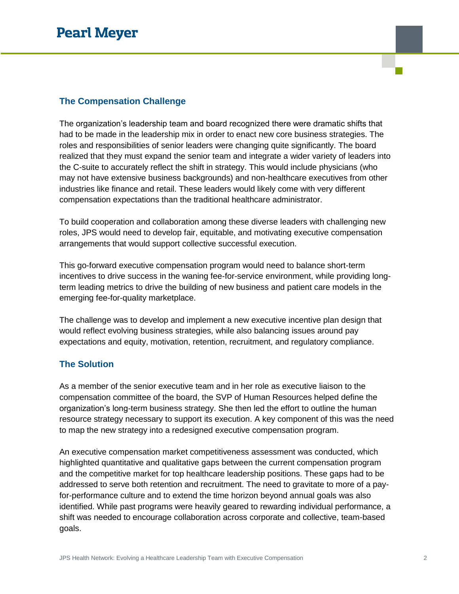# **The Compensation Challenge**

The organization's leadership team and board recognized there were dramatic shifts that had to be made in the leadership mix in order to enact new core business strategies. The roles and responsibilities of senior leaders were changing quite significantly. The board realized that they must expand the senior team and integrate a wider variety of leaders into the C-suite to accurately reflect the shift in strategy. This would include physicians (who may not have extensive business backgrounds) and non-healthcare executives from other industries like finance and retail. These leaders would likely come with very different compensation expectations than the traditional healthcare administrator.

To build cooperation and collaboration among these diverse leaders with challenging new roles, JPS would need to develop fair, equitable, and motivating executive compensation arrangements that would support collective successful execution.

This go-forward executive compensation program would need to balance short-term incentives to drive success in the waning fee-for-service environment, while providing longterm leading metrics to drive the building of new business and patient care models in the emerging fee-for-quality marketplace.

The challenge was to develop and implement a new executive incentive plan design that would reflect evolving business strategies, while also balancing issues around pay expectations and equity, motivation, retention, recruitment, and regulatory compliance.

## **The Solution**

As a member of the senior executive team and in her role as executive liaison to the compensation committee of the board, the SVP of Human Resources helped define the organization's long-term business strategy. She then led the effort to outline the human resource strategy necessary to support its execution. A key component of this was the need to map the new strategy into a redesigned executive compensation program.

An executive compensation market competitiveness assessment was conducted, which highlighted quantitative and qualitative gaps between the current compensation program and the competitive market for top healthcare leadership positions. These gaps had to be addressed to serve both retention and recruitment. The need to gravitate to more of a payfor-performance culture and to extend the time horizon beyond annual goals was also identified. While past programs were heavily geared to rewarding individual performance, a shift was needed to encourage collaboration across corporate and collective, team-based goals.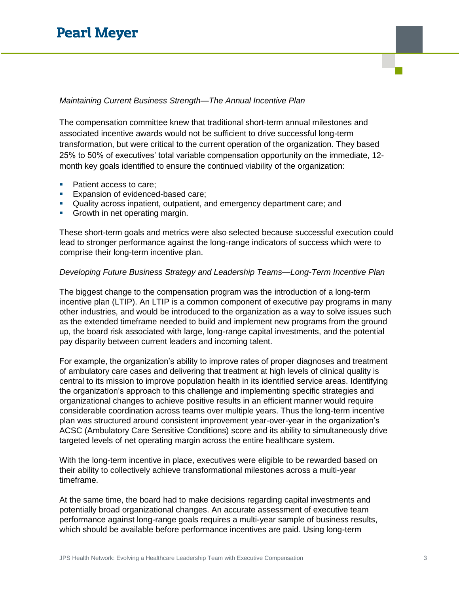## *Maintaining Current Business Strength—The Annual Incentive Plan*

The compensation committee knew that traditional short-term annual milestones and associated incentive awards would not be sufficient to drive successful long-term transformation, but were critical to the current operation of the organization. They based 25% to 50% of executives' total variable compensation opportunity on the immediate, 12 month key goals identified to ensure the continued viability of the organization:

- Patient access to care;
- **Expansion of evidenced-based care;**
- Quality across inpatient, outpatient, and emergency department care; and
- Growth in net operating margin.

These short-term goals and metrics were also selected because successful execution could lead to stronger performance against the long-range indicators of success which were to comprise their long-term incentive plan.

### *Developing Future Business Strategy and Leadership Teams—Long-Term Incentive Plan*

The biggest change to the compensation program was the introduction of a long-term incentive plan (LTIP). An LTIP is a common component of executive pay programs in many other industries, and would be introduced to the organization as a way to solve issues such as the extended timeframe needed to build and implement new programs from the ground up, the board risk associated with large, long-range capital investments, and the potential pay disparity between current leaders and incoming talent.

For example, the organization's ability to improve rates of proper diagnoses and treatment of ambulatory care cases and delivering that treatment at high levels of clinical quality is central to its mission to improve population health in its identified service areas. Identifying the organization's approach to this challenge and implementing specific strategies and organizational changes to achieve positive results in an efficient manner would require considerable coordination across teams over multiple years. Thus the long-term incentive plan was structured around consistent improvement year-over-year in the organization's ACSC (Ambulatory Care Sensitive Conditions) score and its ability to simultaneously drive targeted levels of net operating margin across the entire healthcare system.

With the long-term incentive in place, executives were eligible to be rewarded based on their ability to collectively achieve transformational milestones across a multi-year timeframe.

At the same time, the board had to make decisions regarding capital investments and potentially broad organizational changes. An accurate assessment of executive team performance against long-range goals requires a multi-year sample of business results, which should be available before performance incentives are paid. Using long-term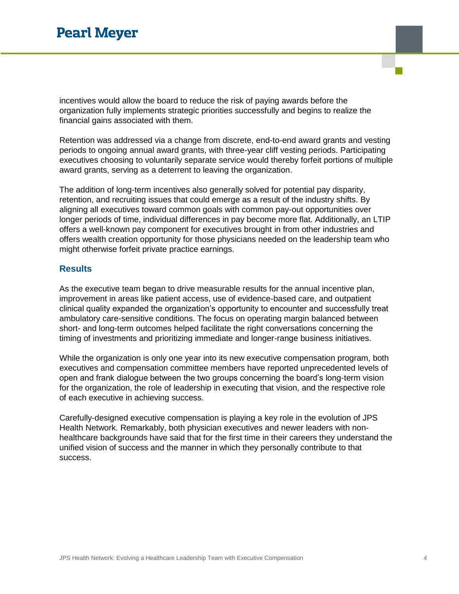incentives would allow the board to reduce the risk of paying awards before the organization fully implements strategic priorities successfully and begins to realize the financial gains associated with them.

Retention was addressed via a change from discrete, end-to-end award grants and vesting periods to ongoing annual award grants, with three-year cliff vesting periods. Participating executives choosing to voluntarily separate service would thereby forfeit portions of multiple award grants, serving as a deterrent to leaving the organization.

The addition of long-term incentives also generally solved for potential pay disparity, retention, and recruiting issues that could emerge as a result of the industry shifts. By aligning all executives toward common goals with common pay-out opportunities over longer periods of time, individual differences in pay become more flat. Additionally, an LTIP offers a well-known pay component for executives brought in from other industries and offers wealth creation opportunity for those physicians needed on the leadership team who might otherwise forfeit private practice earnings.

## **Results**

As the executive team began to drive measurable results for the annual incentive plan, improvement in areas like patient access, use of evidence-based care, and outpatient clinical quality expanded the organization's opportunity to encounter and successfully treat ambulatory care-sensitive conditions. The focus on operating margin balanced between short- and long-term outcomes helped facilitate the right conversations concerning the timing of investments and prioritizing immediate and longer-range business initiatives.

While the organization is only one year into its new executive compensation program, both executives and compensation committee members have reported unprecedented levels of open and frank dialogue between the two groups concerning the board's long-term vision for the organization, the role of leadership in executing that vision, and the respective role of each executive in achieving success.

Carefully-designed executive compensation is playing a key role in the evolution of JPS Health Network. Remarkably, both physician executives and newer leaders with nonhealthcare backgrounds have said that for the first time in their careers they understand the unified vision of success and the manner in which they personally contribute to that success.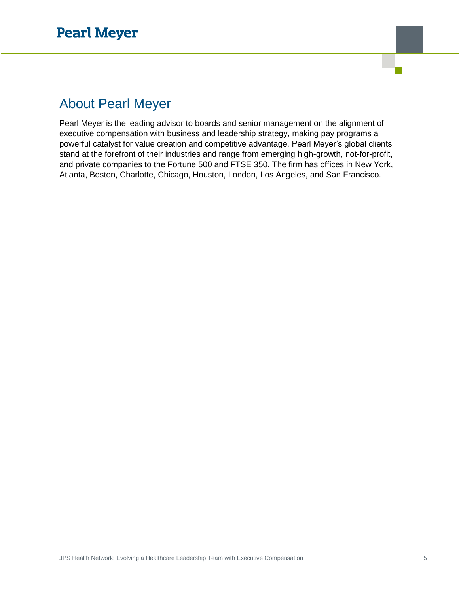# About Pearl Meyer

Pearl Meyer is the leading advisor to boards and senior management on the alignment of executive compensation with business and leadership strategy, making pay programs a powerful catalyst for value creation and competitive advantage. Pearl Meyer's global clients stand at the forefront of their industries and range from emerging high-growth, not-for-profit, and private companies to the Fortune 500 and FTSE 350. The firm has offices in New York, Atlanta, Boston, Charlotte, Chicago, Houston, London, Los Angeles, and San Francisco.